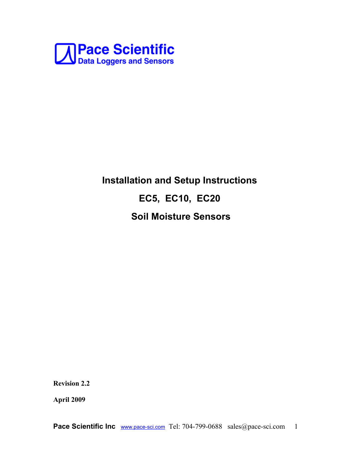

# **Installation and Setup Instructions EC5, EC10, EC20 Soil Moisture Sensors**

**Revision 2.2**

**April 2009**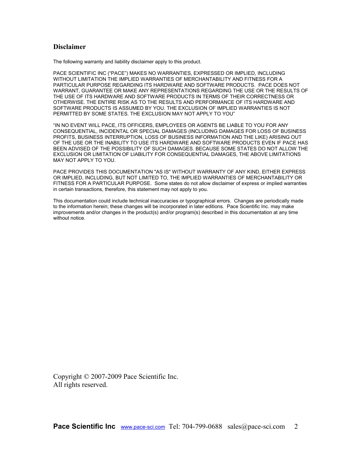#### **Disclaimer**

The following warranty and liability disclaimer apply to this product.

PACE SCIENTIFIC INC ("PACE") MAKES NO WARRANTIES, EXPRESSED OR IMPLIED, INCLUDING WITHOUT LIMITATION THE IMPLIED WARRANTIES OF MERCHANTABILITY AND FITNESS FOR A PARTICULAR PURPOSE REGARDING ITS HARDWARE AND SOFTWARE PRODUCTS. PACE DOES NOT WARRANT, GUARANTEE OR MAKE ANY REPRESENTATIONS REGARDING THE USE OR THE RESULTS OF THE USE OF ITS HARDWARE AND SOFTWARE PRODUCTS IN TERMS OF THEIR CORRECTNESS OR OTHERWISE. THE ENTIRE RISK AS TO THE RESULTS AND PERFORMANCE OF ITS HARDWARE AND SOFTWARE PRODUCTS IS ASSUMED BY YOU. THE EXCLUSION OF IMPLIED WARRANTIES IS NOT PERMITTED BY SOME STATES. THE EXCLUSION MAY NOT APPLY TO YOU"

"IN NO EVENT WILL PACE, ITS OFFICERS, EMPLOYEES OR AGENTS BE LIABLE TO YOU FOR ANY CONSEQUENTIAL, INCIDENTAL OR SPECIAL DAMAGES (INCLUDING DAMAGES FOR LOSS OF BUSINESS PROFITS, BUSINESS INTERRUPTION, LOSS OF BUSINESS INFORMATION AND THE LIKE) ARISING OUT OF THE USE OR THE INABILITY TO USE ITS HARDWARE AND SOFTWARE PRODUCTS EVEN IF PACE HAS BEEN ADVISED OF THE POSSIBILITY OF SUCH DAMAGES. BECAUSE SOME STATES DO NOT ALLOW THE EXCLUSION OR LIMITATION OF LIABILITY FOR CONSEQUENTIAL DAMAGES, THE ABOVE LIMITATIONS MAY NOT APPLY TO YOU.

PACE PROVIDES THIS DOCUMENTATION "AS IS" WITHOUT WARRANTY OF ANY KIND, EITHER EXPRESS OR IMPLIED, INCLUDING, BUT NOT LIMITED TO, THE IMPLIED WARRANTIES OF MERCHANTABILITY OR FITNESS FOR A PARTICULAR PURPOSE. Some states do not allow disclaimer of express or implied warranties in certain transactions, therefore, this statement may not apply to you.

This documentation could include technical inaccuracies or typographical errors. Changes are periodically made to the information herein; these changes will be incorporated in later editions. Pace Scientific Inc. may make improvements and/or changes in the product(s) and/or program(s) described in this documentation at any time without notice.

Copyright © 2007-2009 Pace Scientific Inc. All rights reserved.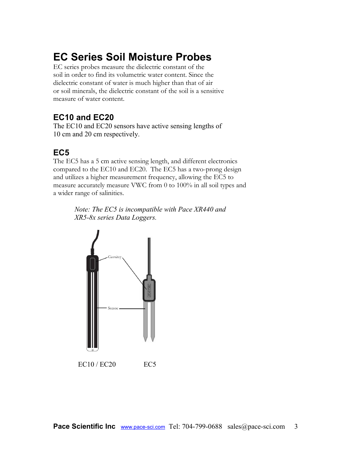## **EC Series Soil Moisture Probes**

EC series probes measure the dielectric constant of the soil in order to find its volumetric water content. Since the dielectric constant of water is much higher than that of air or soil minerals, the dielectric constant of the soil is a sensitive measure of water content.

## **EC10 and EC20**

The EC10 and EC20 sensors have active sensing lengths of 10 cm and 20 cm respectively.

## **EC5**

The EC5 has a 5 cm active sensing length, and different electronics compared to the EC10 and EC20. The EC5 has a two-prong design and utilizes a higher measurement frequency, allowing the EC5 to measure accurately measure VWC from 0 to 100% in all soil types and a wider range of salinities.

> *Note: The EC5 is incompatible with Pace XR440 and XR5-8x series Data Loggers.*

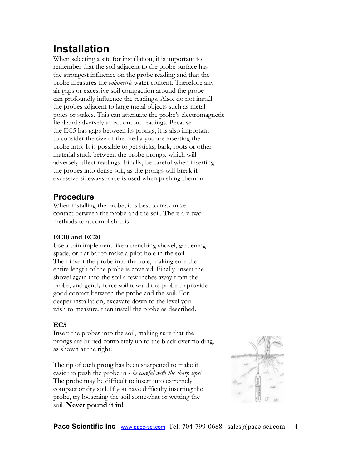## **Installation**

When selecting a site for installation, it is important to remember that the soil adjacent to the probe surface has the strongest influence on the probe reading and that the probe measures the *volumetric* water content. Therefore any air gaps or excessive soil compaction around the probe can profoundly influence the readings. Also, do not install the probes adjacent to large metal objects such as metal poles or stakes. This can attenuate the probe's electromagnetic field and adversely affect output readings. Because the EC5 has gaps between its prongs, it is also important to consider the size of the media you are inserting the probe into. It is possible to get sticks, bark, roots or other material stuck between the probe prongs, which will adversely affect readings. Finally, be careful when inserting the probes into dense soil, as the prongs will break if excessive sideways force is used when pushing them in.

## **Procedure**

When installing the probe, it is best to maximize contact between the probe and the soil. There are two methods to accomplish this.

### **EC10 and EC20**

Use a thin implement like a trenching shovel, gardening spade, or flat bar to make a pilot hole in the soil. Then insert the probe into the hole, making sure the entire length of the probe is covered. Finally, insert the shovel again into the soil a few inches away from the probe, and gently force soil toward the probe to provide good contact between the probe and the soil. For deeper installation, excavate down to the level you wish to measure, then install the probe as described.

### **EC5**

Insert the probes into the soil, making sure that the prongs are buried completely up to the black overmolding, as shown at the right:

The tip of each prong has been sharpened to make it easier to push the probe in - *be careful with the sharp tips!* The probe may be difficult to insert into extremely compact or dry soil. If you have difficulty inserting the probe, try loosening the soil somewhat or wetting the soil. **Never pound it in!**

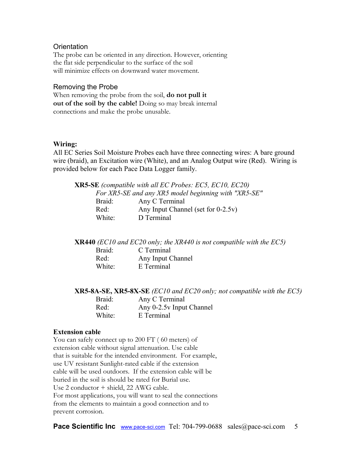#### **Orientation**

The probe can be oriented in any direction. However, orienting the flat side perpendicular to the surface of the soil will minimize effects on downward water movement.

#### Removing the Probe

When removing the probe from the soil, **do not pull it out of the soil by the cable!** Doing so may break internal connections and make the probe unusable.

#### **Wiring:**

All EC Series Soil Moisture Probes each have three connecting wires: A bare ground wire (braid), an Excitation wire (White), and an Analog Output wire (Red). Wiring is provided below for each Pace Data Logger family.

**XR5-SE** *(compatible with all EC Probes: EC5, EC10, EC20) For XR5-SE and any XR5 model beginning with "XR5-SE"* Braid: Any C Terminal Red: Any Input Channel (set for 0-2.5v) White: D Terminal

**XR440** *(EC10 and EC20 only; the XR440 is not compatible with the EC5)*

| Braid: | C Terminal        |
|--------|-------------------|
| Red:   | Any Input Channel |
| White: | E Terminal        |

**XR5-8A-SE, XR5-8X-SE** *(EC10 and EC20 only; not compatible with the EC5)*

| Braid: | Any C Terminal           |
|--------|--------------------------|
| Red:   | Any 0-2.5y Input Channel |
| White: | E Terminal               |

#### **Extension cable**

You can safely connect up to 200 FT ( 60 meters) of extension cable without signal attenuation. Use cable that is suitable for the intended environment. For example, use UV resistant Sunlight-rated cable if the extension cable will be used outdoors. If the extension cable will be buried in the soil is should be rated for Burial use. Use 2 conductor + shield, 22 AWG cable. For most applications, you will want to seal the connections from the elements to maintain a good connection and to prevent corrosion.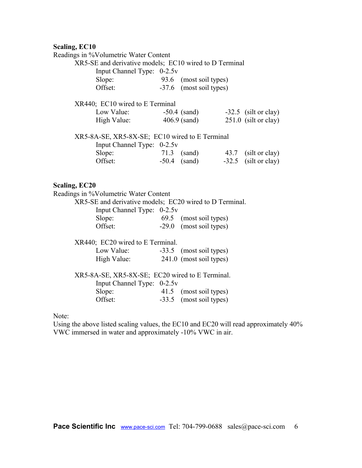#### **Scaling, EC10**

Note:

Readings in %Volumetric Water Content

| Readings in 70 volumente water Coment                   |                                       |                        |
|---------------------------------------------------------|---------------------------------------|------------------------|
| XR5-SE and derivative models; EC10 wired to D Terminal  |                                       |                        |
| Input Channel Type: 0-2.5v                              |                                       |                        |
| Slope:                                                  | 93.6 (most soil types)                |                        |
| Offset:                                                 | -37.6 (most soil types)               |                        |
| XR440; EC10 wired to E Terminal                         |                                       |                        |
| Low Value: -50.4 (sand) -32.5 (silt or clay)            |                                       |                        |
| High Value:                                             | $406.9$ (sand)                        | $251.0$ (silt or clay) |
| XR5-8A-SE, XR5-8X-SE; EC10 wired to E Terminal          |                                       |                        |
| Input Channel Type: 0-2.5v                              |                                       |                        |
| Slope:                                                  | 71.3 (sand) 43.7 (silt or clay)       |                        |
| Offset:                                                 | $-50.4$ (sand) $-32.5$ (silt or clay) |                        |
| Scaling, EC20                                           |                                       |                        |
| Readings in %Volumetric Water Content                   |                                       |                        |
| XR5-SE and derivative models; EC20 wired to D Terminal. |                                       |                        |
|                                                         |                                       |                        |
| Input Channel Type: 0-2.5v                              |                                       |                        |
| Slope:                                                  | 69.5 (most soil types)                |                        |
| Offset:                                                 | -29.0 (most soil types)               |                        |
| XR440; EC20 wired to E Terminal.                        |                                       |                        |
| Low Value: -33.5 (most soil types)                      |                                       |                        |
| High Value: 241.0 (most soil types)                     |                                       |                        |

XR5-8A-SE, XR5-8X-SE; EC20 wired to E Terminal.

Slope: 41.5 (most soil types)<br>Offset: -33.5 (most soil types)

 $-33.5$  (most soil types)

Using the above listed scaling values, the EC10 and EC20 will read approximately 40%

Input Channel Type: 0-2.5v

VWC immersed in water and approximately -10% VWC in air.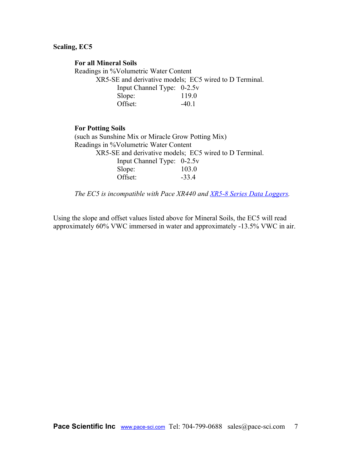#### **Scaling, EC5**

#### **For all Mineral Soils**

Readings in %Volumetric Water Content XR5-SE and derivative models; EC5 wired to D Terminal. Input Channel Type: 0-2.5v Slope: 119.0 Offset: -40.1

#### **For Potting Soils**

(such as Sunshine Mix or Miracle Grow Potting Mix) Readings in %Volumetric Water Content XR5-SE and derivative models; EC5 wired to D Terminal. Input Channel Type: 0-2.5v Slope: 103.0 Offset:  $-33.4$ 

*The EC5 is incompatible with Pace XR440 and [XR5-8 Series Data Loggers.](http://www.pace-sci.com/XR5-8x-SE.htm)*

Using the slope and offset values listed above for Mineral Soils, the EC5 will read approximately 60% VWC immersed in water and approximately -13.5% VWC in air.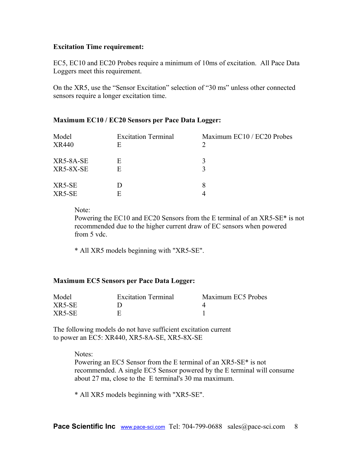#### **Excitation Time requirement:**

EC5, EC10 and EC20 Probes require a minimum of 10ms of excitation. All Pace Data Loggers meet this requirement.

On the XR5, use the "Sensor Excitation" selection of "30 ms" unless other connected sensors require a longer excitation time.

#### **Maximum EC10 / EC20 Sensors per Pace Data Logger:**

| Model<br><b>XR440</b>         | <b>Excitation Terminal</b><br>E | Maximum EC10 / EC20 Probes |
|-------------------------------|---------------------------------|----------------------------|
| XR5-8A-SE<br><b>XR5-8X-SE</b> | E<br>E                          |                            |
| XR5-SE<br>XR5-SE              | E                               | 8                          |

Note:

Powering the EC10 and EC20 Sensors from the E terminal of an XR5-SE\* is not recommended due to the higher current draw of EC sensors when powered from 5 vdc.

\* All XR5 models beginning with "XR5-SE".

#### **Maximum EC5 Sensors per Pace Data Logger:**

| Model  | <b>Excitation Terminal</b> | Maximum EC5 Probes |
|--------|----------------------------|--------------------|
| XR5-SE |                            |                    |
| XR5-SE |                            |                    |

The following models do not have sufficient excitation current to power an EC5: XR440, XR5-8A-SE, XR5-8X-SE

> Notes: Powering an EC5 Sensor from the E terminal of an XR5-SE\* is not recommended. A single EC5 Sensor powered by the E terminal will consume about 27 ma, close to the E terminal's 30 ma maximum.

\* All XR5 models beginning with "XR5-SE".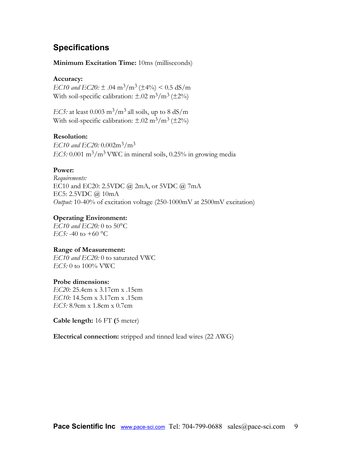## **Specifications**

#### **Minimum Excitation Time:** 10ms (milliseconds)

#### **Accuracy:**

*EC10 and EC20:*  $\pm$  .04 m<sup>3</sup>/m<sup>3</sup> ( $\pm$ 4%) < 0.5 dS/m With soil-specific calibration:  $\pm .02 \text{ m}^3/\text{m}^3 \, (\pm 2\%)$ 

*EC5:* at least  $0.003 \text{ m}^3/\text{m}^3$  all soils, up to  $8 \text{ dS/m}$ With soil-specific calibration:  $\pm .02 \text{ m}^3/\text{m}^3 \, (\pm 2\%)$ 

#### **Resolution:**

*EC10 and EC20:* 0.002m3/m<sup>3</sup> *EC5:* 0.001 m<sup>3</sup>/m<sup>3</sup> VWC in mineral soils, 0.25% in growing media

#### **Power:**

*Requirements:* EC10 and EC20: 2.5VDC @ 2mA, or 5VDC @ 7mA EC5:  $2.5$ VDC  $\omega$  10mA *Output:* 10-40% of excitation voltage (250-1000mV at 2500mV excitation)

#### **Operating Environment:**

*EC10 and EC20:* 0 to 50°C *EC5:* -40 to +60 °C

#### **Range of Measurement:**

*EC10 and EC20:* 0 to saturated VWC *EC5:* 0 to 100% VWC

#### **Probe dimensions:**

*EC20:* 25.4cm x 3.17cm x .15cm *EC10:* 14.5cm x 3.17cm x .15cm *EC5:* 8.9cm x 1.8cm x 0.7cm

**Cable length:** 16 FT **(**5 meter)

**Electrical connection:** stripped and tinned lead wires (22 AWG)